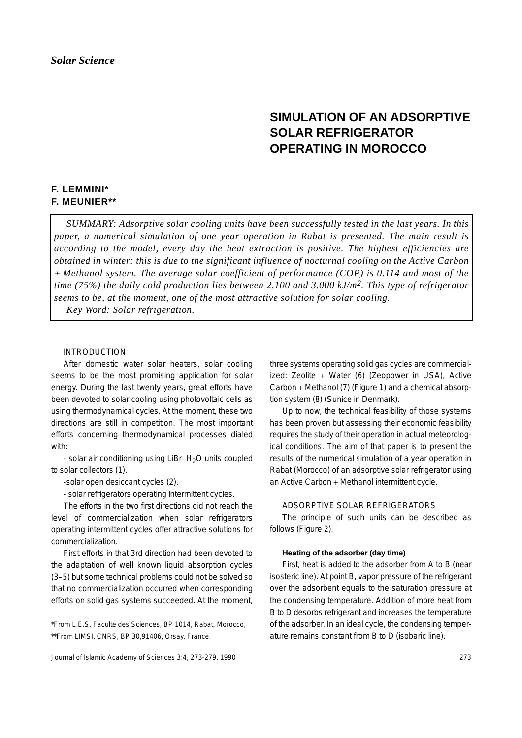# **SIMULATION OF AN ADSORPTIVE SOLAR REFRIGERATOR OPERATING IN MOROCCO**

## **F. LEMMINI\* F. MEUNIER\*\***

*SUMMARY: Adsorptive solar cooling units have been successfully tested in the last years. In this paper, a numerical simulation of one year operation in Rabat is presented. The main result is according to the model, every day the heat extraction is positive. The highest efficiencies are obtained in winter: this is due to the significant influence of nocturnal cooling on the Active Carbon* <sup>+</sup> *Methanol system. The average solar coefficient of performance (COP) is 0.114 and most of the time (75%) the daily cold production lies between 2.100 and 3.000 kJ/m2. This type of refrigerator seems to be, at the moment, one of the most attractive solution for solar cooling. Key Word: Solar refrigeration.*

## INTRODUCTION

After domestic water solar heaters, solar cooling seems to be the most promising application for solar energy. During the last twenty years, great efforts have been devoted to solar cooling using photovoltaic cells as using thermodynamical cycles. At the moment, these two directions are still in competition. The most important efforts concerning thermodynamical processes dialed with:

- solar air conditioning using LiBr−H2O units coupled to solar collectors (1),

-solar open desiccant cycles (2),

- solar refrigerators operating intermittent cycles.

The efforts in the two first directions did not reach the level of commercialization when solar refrigerators operating intermittent cycles offer attractive solutions for commercialization.

First efforts in that 3rd direction had been devoted to the adaptation of well known liquid absorption cycles (3–5) but some technical problems could not be solved so that no commercialization occurred when corresponding efforts on solid gas systems succeeded. At the moment, three systems operating solid gas cycles are commercialized: Zeolite + Water (6) (Zeopower in USA), Active Carbon + Methanol (7) (Figure 1) and a chemical absorption system (8) (Sunice in Denmark).

Up to now, the technical feasibility of those systems has been proven but assessing their economic feasibility requires the study of their operation in actual meteorological conditions. The aim of that paper is to present the results of the numerical simulation of a year operation in Rabat (Morocco) of an adsorptive solar refrigerator using an Active Carbon + Methanol intermittent cycle.

## ADSORPTIVE SOLAR REFRIGERATORS

The principle of such units can be described as follows (Figure 2).

## **Heating of the adsorber (day time)**

First, heat is added to the adsorber from A to B (near isosteric line). At point B, vapor pressure of the refrigerant over the adsorbent equals to the saturation pressure at the condensing temperature. Addition of more heat from B to D desorbs refrigerant and increases the temperature of the adsorber. In an ideal cycle, the condensing temperature remains constant from B to D (isobaric line).

<sup>\*</sup>From L.E.S. Faculte des Sciences, BP 1014, Rabat, Morocco, \*\*From LIMSI, CNRS, BP 30,91406, Orsay, France.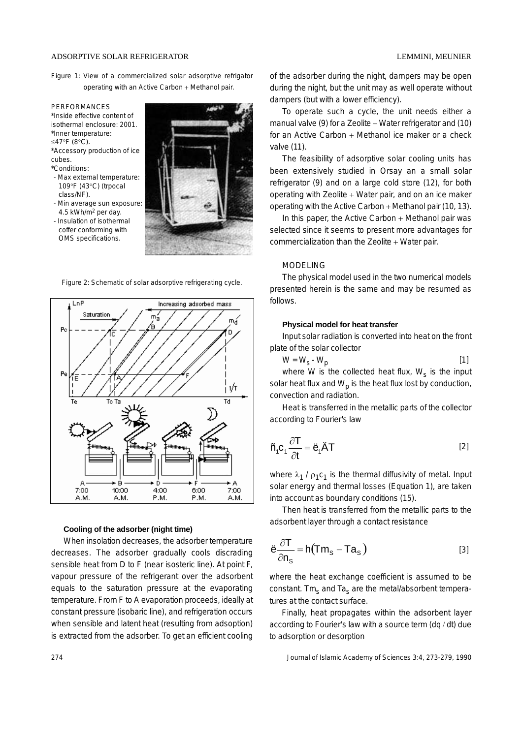#### ADSORPTIVE SOLAR REFRIGERATOR LEMMINI, MEUNIER

Figure 1: View of a commercialized solar adsorptive refrigator operating with an Active Carbon + Methanol pair.

#### PERFORMANCES

\*Inside effective content of isothermal enclosure: 2001. \*Inner temperature: ≤47°F (8°C).

\*Accessory production of ice cubes.

## \*Conditions:

- Max external temperature: 109°F (43°C) (trpocal class/NF).
- Min average sun exposure: 4.5 kWh/m2 per day.
- Insulation of isothermal coffer conforming with OMS specifications.



Figure 2: Schematic of solar adsorptive refrigerating cycle.



### **Cooling of the adsorber (night time)**

When insolation decreases, the adsorber temperature decreases. The adsorber gradually cools discrading sensible heat from D to F (near isosteric line). At point F, vapour pressure of the refrigerant over the adsorbent equals to the saturation pressure at the evaporating temperature. From F to A evaporation proceeds, ideally at constant pressure (isobaric line), and refrigeration occurs when sensible and latent heat (resulting from adsoption) is extracted from the adsorber. To get an efficient cooling of the adsorber during the night, dampers may be open during the night, but the unit may as well operate without dampers (but with a lower efficiency).

To operate such a cycle, the unit needs either a manual valve (9) for a Zeolite + Water refrigerator and (10) for an Active Carbon + Methanol ice maker or a check valve (11).

The feasibility of adsorptive solar cooling units has been extensively studied in Orsay an a small solar refrigerator (9) and on a large cold store (12), for both operating with Zeolite + Water pair, and on an ice maker operating with the Active Carbon + Methanol pair (10, 13).

In this paper, the Active Carbon + Methanol pair was selected since it seems to present more advantages for commercialization than the Zeolite + Water pair.

## MODELING

The physical model used in the two numerical models presented herein is the same and may be resumed as follows.

#### **Physical model for heat transfer**

Input solar radiation is converted into heat on the front plate of the solar collector

$$
W = W_s - W_p \tag{1}
$$

where W is the collected heat flux,  $W_s$  is the input solar heat flux and  $W_p$  is the heat flux lost by conduction, convection and radiation.

Heat is transferred in the metallic parts of the collector according to Fourier's law

$$
\tilde{n}_1 c_1 \frac{\partial T}{\partial t} = \ddot{e}_1 \ddot{A} T
$$
 [2]

where  $\lambda_1$  /  $\rho_1 c_1$  is the thermal diffusivity of metal. Input solar energy and thermal losses (Equation 1), are taken into account as boundary conditions (15).

Then heat is transferred from the metallic parts to the adsorbent layer through a contact resistance

$$
\ddot{e}\frac{\partial T}{\partial n_s} = h(Tm_s - Ta_s)
$$
 [3]

where the heat exchange coefficient is assumed to be constant. Tm<sub>s</sub> and Ta<sub>s</sub> are the metal/absorbent temperatures at the contact surface.

Finally, heat propagates within the adsorbent layer according to Fourier's law with a source term (dq / dt) due to adsorption or desorption

274 Journal of Islamic Academy of Sciences 3:4, 273-279, 1990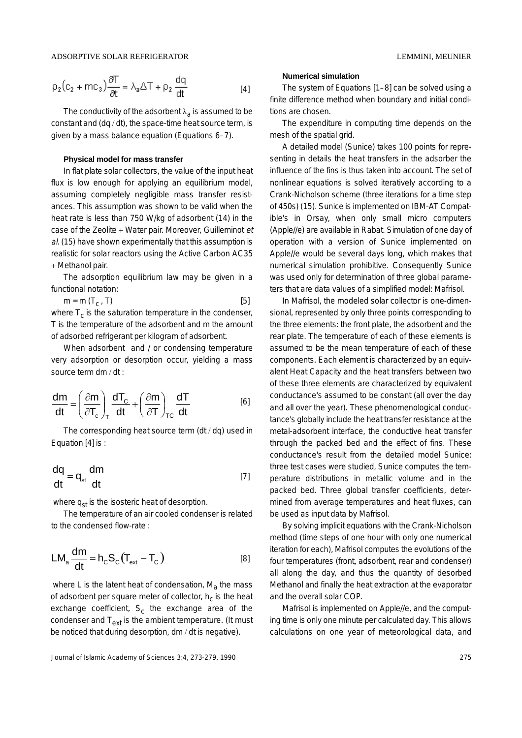$$
\rho_2 (c_2 + mc_3) \frac{\partial T}{\partial t} = \lambda_a \Delta T + \rho_2 \frac{dq}{dt}
$$
 [4]

The conductivity of the adsorbent  $\lambda_a$  is assumed to be constant and (dq / dt), the space-time heat source term, is given by a mass balance equation (Equations 6–7).

## **Physical model for mass transfer**

In flat plate solar collectors, the value of the input heat flux is low enough for applying an equilibrium model. assuming completely negligible mass transfer resistances. This assumption was shown to be valid when the heat rate is less than 750 W/kg of adsorbent (14) in the case of the Zeolite + Water pair. Moreover, Guilleminot et al. (15) have shown experimentally that this assumption is realistic for solar reactors using the Active Carbon AC35 + Methanol pair.

The adsorption equilibrium law may be given in a functional notation:

 $m = m (T_c, T)$  [5] where  $T_c$  is the saturation temperature in the condenser, T is the temperature of the adsorbent and m the amount of adsorbed refrigerant per kilogram of adsorbent.

When adsorbent and / or condensing temperature very adsorption or desorption occur, yielding a mass source term dm / dt :

$$
\frac{dm}{dt} = \left(\frac{\partial m}{\partial T_c}\right)_T \frac{dT_c}{dt} + \left(\frac{\partial m}{\partial T}\right)_{TC} \frac{dT}{dt}
$$
 [6]

The corresponding heat source term (dt / dq) used in Equation [4] is :

$$
\frac{dq}{dt} = q_{st} \frac{dm}{dt}
$$
 [7]

where  $q_{st}$  is the isosteric heat of desorption.

The temperature of an air cooled condenser is related to the condensed flow-rate :

$$
LM_a \frac{dm}{dt} = h_c S_c (T_{ext} - T_c)
$$
 [8]

where L is the latent heat of condensation,  $M_a$  the mass of adsorbent per square meter of collector,  $h_c$  is the heat exchange coefficient,  $S_c$  the exchange area of the condenser and  $T_{ext}$  is the ambient temperature. (It must be noticed that during desorption, dm / dt is negative).

#### **Numerical simulation**

The system of Equations [1–8] can be solved using a finite difference method when boundary and initial conditions are chosen.

The expenditure in computing time depends on the mesh of the spatial grid.

A detailed model (Sunice) takes 100 points for representing in details the heat transfers in the adsorber the influence of the fins is thus taken into account. The set of nonlinear equations is solved iteratively according to a Crank-Nicholson scheme (three iterations for a time step of 450s) (15). Sunice is implemented on IBM-AT Compatible's in Orsay, when only small micro computers (Apple//e) are available in Rabat. Simulation of one day of operation with a version of Sunice implemented on Apple//e would be several days long, which makes that numerical simulation prohibitive. Consequently Sunice was used only for determination of three global parameters that are data values of a simplified model: Mafrisol.

In Mafrisol, the modeled solar collector is one-dimensional, represented by only three points corresponding to the three elements: the front plate, the adsorbent and the rear plate. The temperature of each of these elements is assumed to be the mean temperature of each of these components. Each element is characterized by an equivalent Heat Capacity and the heat transfers between two of these three elements are characterized by equivalent conductance's assumed to be constant (all over the day and all over the year). These phenomenological conductance's globally include the heat transfer resistance at the metal-adsorbent interface, the conductive heat transfer through the packed bed and the effect of fins. These conductance's result from the detailed model Sunice: three test cases were studied, Sunice computes the temperature distributions in metallic volume and in the packed bed. Three global transfer coefficients, determined from average temperatures and heat fluxes, can be used as input data by Mafrisol.

By solving implicit equations with the Crank-Nicholson method (time steps of one hour with only one numerical iteration for each), Mafrisol computes the evolutions of the four temperatures (front, adsorbent, rear and condenser) all along the day, and thus the quantity of desorbed Methanol and finally the heat extraction at the evaporator and the overall solar COP.

Mafrisol is implemented on Apple//e, and the computing time is only one minute per calculated day. This allows calculations on one year of meteorological data, and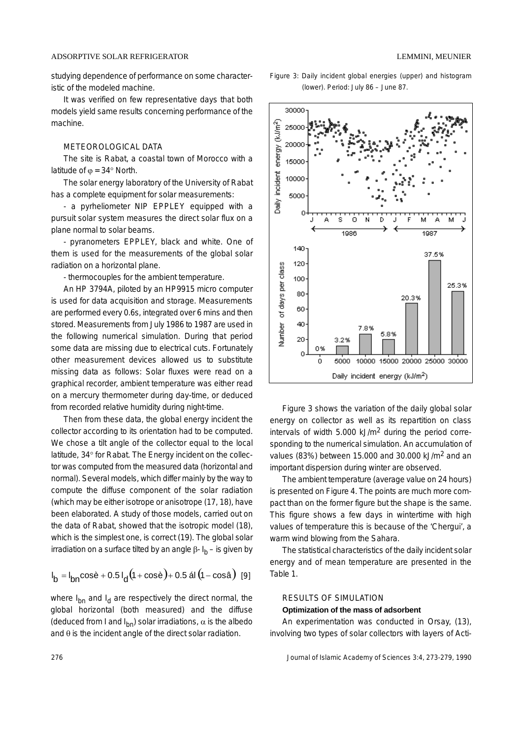#### ADSORPTIVE SOLAR REFRIGERATOR LEMMINI, MEUNIER

studying dependence of performance on some characteristic of the modeled machine.

It was verified on few representative days that both models yield same results concerning performance of the machine.

## METEOROLOGICAL DATA

The site is Rabat, a coastal town of Morocco with a latitude of  $\varphi = 34^\circ$  North.

The solar energy laboratory of the University of Rabat has a complete equipment for solar measurements:

- a pyrheliometer NIP EPPLEY equipped with a pursuit solar system measures the direct solar flux on a plane normal to solar beams.

- pyranometers EPPLEY, black and white. One of them is used for the measurements of the global solar radiation on a horizontal plane.

- thermocouples for the ambient temperature.

An HP 3794A, piloted by an HP9915 micro computer is used for data acquisition and storage. Measurements are performed every 0.6s, integrated over 6 mins and then stored. Measurements from July 1986 to 1987 are used in the following numerical simulation. During that period some data are missing due to electrical cuts. Fortunately other measurement devices allowed us to substitute missing data as follows: Solar fluxes were read on a graphical recorder, ambient temperature was either read on a mercury thermometer during day-time, or deduced from recorded relative humidity during night-time.

Then from these data, the global energy incident the collector according to its orientation had to be computed. We chose a tilt angle of the collector equal to the local latitude, 34° for Rabat. The Energy incident on the collector was computed from the measured data (horizontal and normal). Several models, which differ mainly by the way to compute the diffuse component of the solar radiation (which may be either isotrope or anisotrope (17, 18), have been elaborated. A study of those models, carried out on the data of Rabat, showed that the isotropic model (18), which is the simplest one, is correct (19). The global solar irradiation on a surface tilted by an angle  $β$ -  $I<sub>b</sub>$  – is given by

$$
I_b = I_{bn} \cos \dot{e} + 0.5 I_d (1 + \cos \dot{e}) + 0.5 \text{ at } (1 - \cos \hat{a}) \text{ [9]}
$$

where  $I_{bn}$  and  $I_d$  are respectively the direct normal, the global horizontal (both measured) and the diffuse (deduced from I and  $I_{bn}$ ) solar irradiations,  $\alpha$  is the albedo and  $\theta$  is the incident angle of the direct solar radiation.





Figure 3 shows the variation of the daily global solar energy on collector as well as its repartition on class intervals of width 5.000 kJ/m2 during the period corresponding to the numerical simulation. An accumulation of values (83%) between 15.000 and 30.000 kJ/m2 and an important dispersion during winter are observed.

The ambient temperature (average value on 24 hours) is presented on Figure 4. The points are much more compact than on the former figure but the shape is the same. This figure shows a few days in wintertime with high values of temperature this is because of the 'Chergui', a warm wind blowing from the Sahara.

The statistical characteristics of the daily incident solar energy and of mean temperature are presented in the Table 1.

#### RESULTS OF SIMULATION

## **Optimization of the mass of adsorbent**

An experimentation was conducted in Orsay, (13), involving two types of solar collectors with layers of Acti-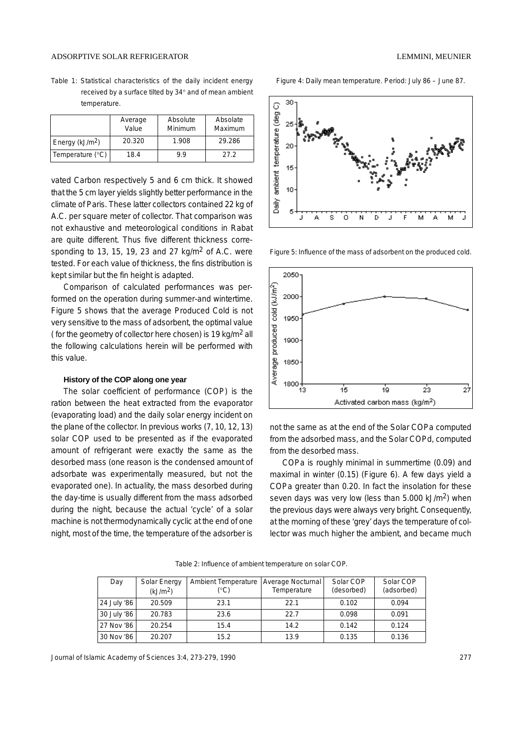#### ADSORPTIVE SOLAR REFRIGERATOR

|                    | Average<br>Value | Absolute<br>Minimum | Absolate<br>Maximum |
|--------------------|------------------|---------------------|---------------------|
| Energy ( $kJ/m2$ ) | 20.320           | 1.908               | 29.286              |
| Temperature $(°C)$ | 18.4             | 9.9                 | 27.2                |

vated Carbon respectively 5 and 6 cm thick. It showed that the 5 cm layer yields slightly better performance in the climate of Paris. These latter collectors contained 22 kg of A.C. per square meter of collector. That comparison was not exhaustive and meteorological conditions in Rabat are quite different. Thus five different thickness corresponding to 13, 15, 19, 23 and 27  $\text{kg/m}^2$  of A.C. were tested. For each value of thickness, the fins distribution is kept similar but the fin height is adapted.

Comparison of calculated performances was performed on the operation during summer-and wintertime. Figure 5 shows that the average Produced Cold is not very sensitive to the mass of adsorbent, the optimal value ( for the geometry of collector here chosen) is 19 kg/m2 all the following calculations herein will be performed with this value.

## **History of the COP along one year**

The solar coefficient of performance (COP) is the ration between the heat extracted from the evaporator (evaporating load) and the daily solar energy incident on the plane of the collector. In previous works (7, 10, 12, 13) solar COP used to be presented as if the evaporated amount of refrigerant were exactly the same as the desorbed mass (one reason is the condensed amount of adsorbate was experimentally measured, but not the evaporated one). In actuality, the mass desorbed during the day-time is usually different from the mass adsorbed during the night, because the actual 'cycle' of a solar machine is not thermodynamically cyclic at the end of one night, most of the time, the temperature of the adsorber is Figure 4: Daily mean temperature. Period: July 86 – June 87.



Figure 5: Influence of the mass of adsorbent on the produced cold.



not the same as at the end of the Solar COPa computed from the adsorbed mass, and the Solar COPd, computed from the desorbed mass.

COPa is roughly minimal in summertime (0.09) and maximal in winter (0.15) (Figure 6). A few days yield a COPa greater than 0.20. In fact the insolation for these seven days was very low (less than 5.000 kJ/m2) when the previous days were always very bright. Consequently, at the morning of these 'grey' days the temperature of collector was much higher the ambient, and became much

Table 2: Influence of ambient temperature on solar COP.

| Day         | Solar Energy<br>(kJ/m <sup>2</sup> ) | Ambient Temperature<br>(°C) | Average Nocturnal<br>Temperature | Solar COP<br>(desorbed) | Solar COP<br>(adsorbed) |
|-------------|--------------------------------------|-----------------------------|----------------------------------|-------------------------|-------------------------|
| 24 July '86 | 20.509                               | 23.1                        | 22.1                             | 0.102                   | 0.094                   |
| 30 July '86 | 20.783                               | 23.6                        | 22.7                             | 0.098                   | 0.091                   |
| 27 Nov '86  | 20.254                               | 15.4                        | 14.2                             | 0.142                   | 0.124                   |
| 30 Nov '86  | 20.207                               | 15.2                        | 13.9                             | 0.135                   | 0.136                   |

Journal of Islamic Academy of Sciences 3:4, 273-279, 1990 277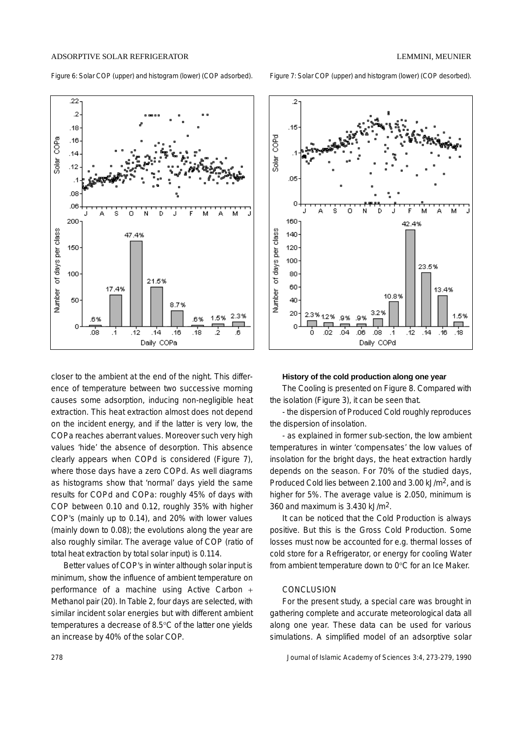ADSORPTIVE SOLAR REFRIGERATOR LEMMINI, MEUNIER

Figure 6: Solar COP (upper) and histogram (lower) (COP adsorbed). Figure 7: Solar COP (upper) and histogram (lower) (COP desorbed).



closer to the ambient at the end of the night. This difference of temperature between two successive morning causes some adsorption, inducing non-negligible heat extraction. This heat extraction almost does not depend on the incident energy, and if the latter is very low, the COPa reaches aberrant values. Moreover such very high values 'hide' the absence of desorption. This absence clearly appears when COPd is considered (Figure 7), where those days have a zero COPd. As well diagrams as histograms show that 'normal' days yield the same results for COPd and COPa: roughly 45% of days with COP between 0.10 and 0.12, roughly 35% with higher COP's (mainly up to 0.14), and 20% with lower values (mainly down to 0.08); the evolutions along the year are also roughly similar. The average value of COP (ratio of total heat extraction by total solar input) is 0.114.

Better values of COP's in winter although solar input is minimum, show the influence of ambient temperature on performance of a machine using Active Carbon + Methanol pair (20). In Table 2, four days are selected, with similar incident solar energies but with different ambient temperatures a decrease of 8.5°C of the latter one yields an increase by 40% of the solar COP.



#### **History of the cold production along one year**

The Cooling is presented on Figure 8. Compared with the isolation (Figure 3), it can be seen that.

- the dispersion of Produced Cold roughly reproduces the dispersion of insolation.

- as explained in former sub-section, the low ambient temperatures in winter 'compensates' the low values of insolation for the bright days, the heat extraction hardly depends on the season. For 70% of the studied days, Produced Cold lies between 2.100 and 3.00 kJ/m2, and is higher for 5%. The average value is 2.050, minimum is 360 and maximum is 3.430 kJ/m2.

It can be noticed that the Cold Production is always positive. But this is the Gross Cold Production. Some losses must now be accounted for e.g. thermal losses of cold store for a Refrigerator, or energy for cooling Water from ambient temperature down to 0°C for an Ice Maker.

## **CONCLUSION**

For the present study, a special care was brought in gathering complete and accurate meteorological data all along one year. These data can be used for various simulations. A simplified model of an adsorptive solar